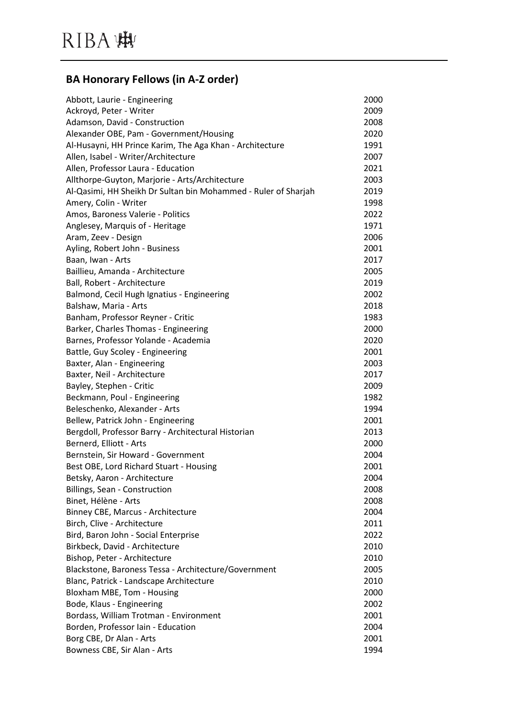#### **BA Honorary Fellows (in A-Z order)**

| Abbott, Laurie - Engineering                                   | 2000 |
|----------------------------------------------------------------|------|
| Ackroyd, Peter - Writer                                        | 2009 |
| Adamson, David - Construction                                  | 2008 |
| Alexander OBE, Pam - Government/Housing                        | 2020 |
| Al-Husayni, HH Prince Karim, The Aga Khan - Architecture       | 1991 |
| Allen, Isabel - Writer/Architecture                            | 2007 |
| Allen, Professor Laura - Education                             | 2021 |
| Allthorpe-Guyton, Marjorie - Arts/Architecture                 | 2003 |
| Al-Qasimi, HH Sheikh Dr Sultan bin Mohammed - Ruler of Sharjah | 2019 |
| Amery, Colin - Writer                                          | 1998 |
| Amos, Baroness Valerie - Politics                              | 2022 |
| Anglesey, Marquis of - Heritage                                | 1971 |
| Aram, Zeev - Design                                            | 2006 |
| Ayling, Robert John - Business                                 | 2001 |
| Baan, Iwan - Arts                                              | 2017 |
| Baillieu, Amanda - Architecture                                | 2005 |
| Ball, Robert - Architecture                                    | 2019 |
| Balmond, Cecil Hugh Ignatius - Engineering                     | 2002 |
| Balshaw, Maria - Arts                                          | 2018 |
| Banham, Professor Reyner - Critic                              | 1983 |
| Barker, Charles Thomas - Engineering                           | 2000 |
| Barnes, Professor Yolande - Academia                           | 2020 |
| Battle, Guy Scoley - Engineering                               | 2001 |
| Baxter, Alan - Engineering                                     | 2003 |
| Baxter, Neil - Architecture                                    | 2017 |
| Bayley, Stephen - Critic                                       | 2009 |
| Beckmann, Poul - Engineering                                   | 1982 |
| Beleschenko, Alexander - Arts                                  | 1994 |
| Bellew, Patrick John - Engineering                             | 2001 |
| Bergdoll, Professor Barry - Architectural Historian            | 2013 |
| Bernerd, Elliott - Arts                                        | 2000 |
| Bernstein, Sir Howard - Government                             | 2004 |
| Best OBE, Lord Richard Stuart - Housing                        | 2001 |
| Betsky, Aaron - Architecture                                   | 2004 |
| Billings, Sean - Construction                                  | 2008 |
| Binet, Hélène - Arts                                           | 2008 |
| Binney CBE, Marcus - Architecture                              | 2004 |
| Birch, Clive - Architecture                                    | 2011 |
| Bird, Baron John - Social Enterprise                           | 2022 |
| Birkbeck, David - Architecture                                 | 2010 |
| Bishop, Peter - Architecture                                   | 2010 |
| Blackstone, Baroness Tessa - Architecture/Government           | 2005 |
| Blanc, Patrick - Landscape Architecture                        | 2010 |
| Bloxham MBE, Tom - Housing                                     | 2000 |
| Bode, Klaus - Engineering                                      | 2002 |
| Bordass, William Trotman - Environment                         | 2001 |
| Borden, Professor Iain - Education                             | 2004 |
| Borg CBE, Dr Alan - Arts                                       | 2001 |
| Bowness CBE, Sir Alan - Arts                                   | 1994 |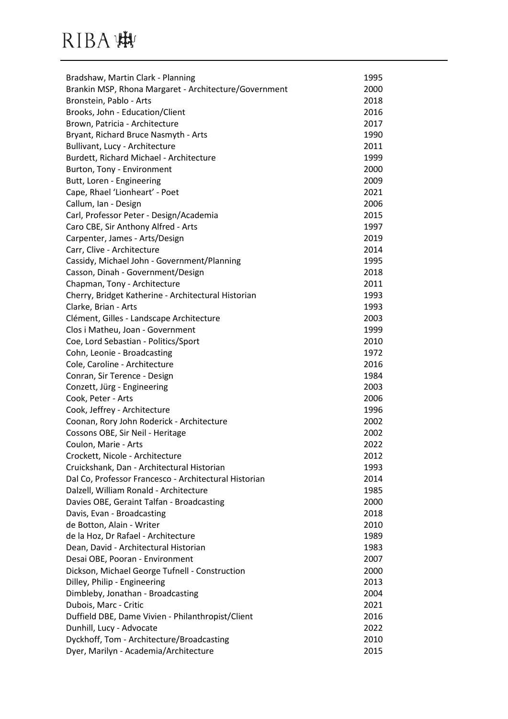| Bradshaw, Martin Clark - Planning                     | 1995 |
|-------------------------------------------------------|------|
| Brankin MSP, Rhona Margaret - Architecture/Government | 2000 |
| Bronstein, Pablo - Arts                               | 2018 |
| Brooks, John - Education/Client                       | 2016 |
| Brown, Patricia - Architecture                        | 2017 |
| Bryant, Richard Bruce Nasmyth - Arts                  | 1990 |
| Bullivant, Lucy - Architecture                        | 2011 |
| Burdett, Richard Michael - Architecture               | 1999 |
| Burton, Tony - Environment                            | 2000 |
| Butt, Loren - Engineering                             | 2009 |
| Cape, Rhael 'Lionheart' - Poet                        | 2021 |
| Callum, Ian - Design                                  | 2006 |
| Carl, Professor Peter - Design/Academia               | 2015 |
| Caro CBE, Sir Anthony Alfred - Arts                   | 1997 |
| Carpenter, James - Arts/Design                        | 2019 |
| Carr, Clive - Architecture                            | 2014 |
| Cassidy, Michael John - Government/Planning           | 1995 |
| Casson, Dinah - Government/Design                     | 2018 |
| Chapman, Tony - Architecture                          | 2011 |
| Cherry, Bridget Katherine - Architectural Historian   | 1993 |
| Clarke, Brian - Arts                                  | 1993 |
| Clément, Gilles - Landscape Architecture              | 2003 |
| Clos i Matheu, Joan - Government                      | 1999 |
| Coe, Lord Sebastian - Politics/Sport                  | 2010 |
| Cohn, Leonie - Broadcasting                           | 1972 |
| Cole, Caroline - Architecture                         | 2016 |
| Conran, Sir Terence - Design                          | 1984 |
| Conzett, Jürg - Engineering                           | 2003 |
| Cook, Peter - Arts                                    | 2006 |
| Cook, Jeffrey - Architecture                          | 1996 |
| Coonan, Rory John Roderick - Architecture             | 2002 |
| Cossons OBE, Sir Neil - Heritage                      | 2002 |
| Coulon, Marie - Arts                                  | 2022 |
| Crockett, Nicole - Architecture                       | 2012 |
| Cruickshank, Dan - Architectural Historian            | 1993 |
| Dal Co, Professor Francesco - Architectural Historian | 2014 |
| Dalzell, William Ronald - Architecture                | 1985 |
| Davies OBE, Geraint Talfan - Broadcasting             | 2000 |
| Davis, Evan - Broadcasting                            | 2018 |
| de Botton, Alain - Writer                             | 2010 |
| de la Hoz, Dr Rafael - Architecture                   | 1989 |
| Dean, David - Architectural Historian                 | 1983 |
| Desai OBE, Pooran - Environment                       | 2007 |
| Dickson, Michael George Tufnell - Construction        | 2000 |
| Dilley, Philip - Engineering                          | 2013 |
| Dimbleby, Jonathan - Broadcasting                     | 2004 |
| Dubois, Marc - Critic                                 | 2021 |
| Duffield DBE, Dame Vivien - Philanthropist/Client     | 2016 |
| Dunhill, Lucy - Advocate                              | 2022 |
| Dyckhoff, Tom - Architecture/Broadcasting             | 2010 |
| Dyer, Marilyn - Academia/Architecture                 | 2015 |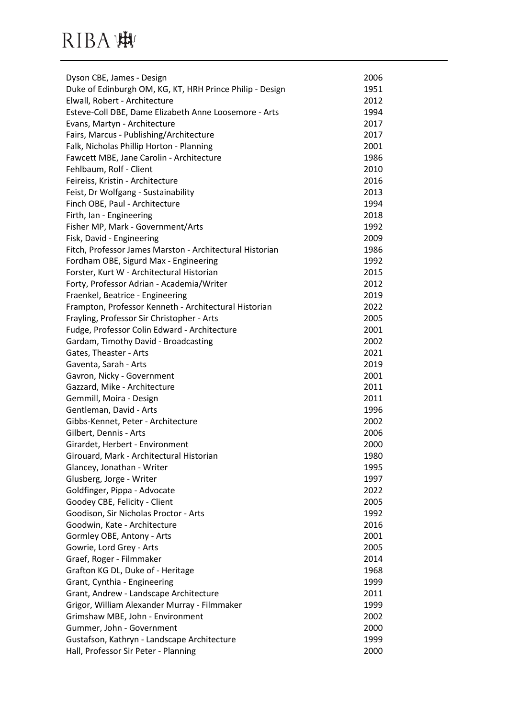| Dyson CBE, James - Design                                | 2006 |
|----------------------------------------------------------|------|
| Duke of Edinburgh OM, KG, KT, HRH Prince Philip - Design | 1951 |
| Elwall, Robert - Architecture                            | 2012 |
| Esteve-Coll DBE, Dame Elizabeth Anne Loosemore - Arts    | 1994 |
| Evans, Martyn - Architecture                             | 2017 |
| Fairs, Marcus - Publishing/Architecture                  | 2017 |
| Falk, Nicholas Phillip Horton - Planning                 | 2001 |
| Fawcett MBE, Jane Carolin - Architecture                 | 1986 |
| Fehlbaum, Rolf - Client                                  | 2010 |
| Feireiss, Kristin - Architecture                         | 2016 |
| Feist, Dr Wolfgang - Sustainability                      | 2013 |
| Finch OBE, Paul - Architecture                           | 1994 |
| Firth, Ian - Engineering                                 | 2018 |
| Fisher MP, Mark - Government/Arts                        | 1992 |
| Fisk, David - Engineering                                | 2009 |
| Fitch, Professor James Marston - Architectural Historian | 1986 |
| Fordham OBE, Sigurd Max - Engineering                    | 1992 |
| Forster, Kurt W - Architectural Historian                | 2015 |
| Forty, Professor Adrian - Academia/Writer                | 2012 |
| Fraenkel, Beatrice - Engineering                         | 2019 |
| Frampton, Professor Kenneth - Architectural Historian    | 2022 |
| Frayling, Professor Sir Christopher - Arts               | 2005 |
| Fudge, Professor Colin Edward - Architecture             | 2001 |
| Gardam, Timothy David - Broadcasting                     | 2002 |
| Gates, Theaster - Arts                                   | 2021 |
| Gaventa, Sarah - Arts                                    | 2019 |
| Gavron, Nicky - Government                               | 2001 |
| Gazzard, Mike - Architecture                             | 2011 |
| Gemmill, Moira - Design                                  | 2011 |
| Gentleman, David - Arts                                  | 1996 |
| Gibbs-Kennet, Peter - Architecture                       | 2002 |
| Gilbert, Dennis - Arts                                   | 2006 |
| Girardet, Herbert - Environment                          | 2000 |
| Girouard, Mark - Architectural Historian                 | 1980 |
| Glancey, Jonathan - Writer                               | 1995 |
| Glusberg, Jorge - Writer                                 | 1997 |
| Goldfinger, Pippa - Advocate                             | 2022 |
| Goodey CBE, Felicity - Client                            | 2005 |
| Goodison, Sir Nicholas Proctor - Arts                    | 1992 |
| Goodwin, Kate - Architecture                             | 2016 |
| Gormley OBE, Antony - Arts                               | 2001 |
| Gowrie, Lord Grey - Arts                                 | 2005 |
| Graef, Roger - Filmmaker                                 | 2014 |
| Grafton KG DL, Duke of - Heritage                        | 1968 |
| Grant, Cynthia - Engineering                             | 1999 |
| Grant, Andrew - Landscape Architecture                   | 2011 |
| Grigor, William Alexander Murray - Filmmaker             | 1999 |
| Grimshaw MBE, John - Environment                         | 2002 |
| Gummer, John - Government                                | 2000 |
| Gustafson, Kathryn - Landscape Architecture              | 1999 |
| Hall, Professor Sir Peter - Planning                     | 2000 |
|                                                          |      |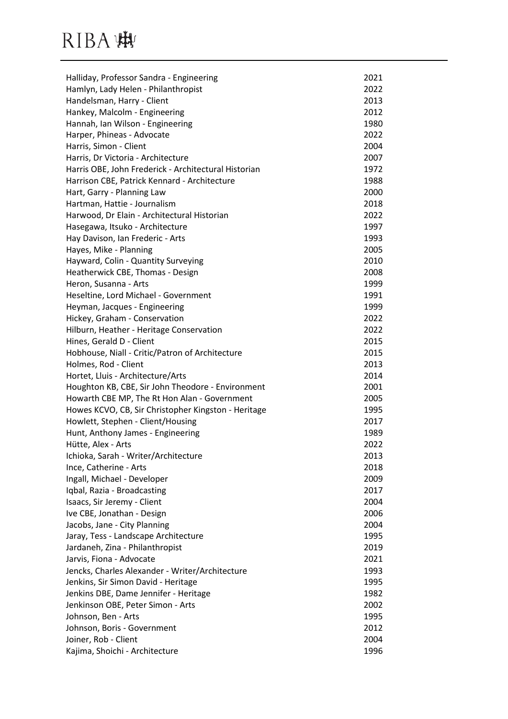| Halliday, Professor Sandra - Engineering             | 2021 |
|------------------------------------------------------|------|
| Hamlyn, Lady Helen - Philanthropist                  | 2022 |
| Handelsman, Harry - Client                           | 2013 |
| Hankey, Malcolm - Engineering                        | 2012 |
| Hannah, Ian Wilson - Engineering                     | 1980 |
| Harper, Phineas - Advocate                           | 2022 |
| Harris, Simon - Client                               | 2004 |
| Harris, Dr Victoria - Architecture                   | 2007 |
| Harris OBE, John Frederick - Architectural Historian | 1972 |
| Harrison CBE, Patrick Kennard - Architecture         | 1988 |
| Hart, Garry - Planning Law                           | 2000 |
| Hartman, Hattie - Journalism                         | 2018 |
| Harwood, Dr Elain - Architectural Historian          | 2022 |
| Hasegawa, Itsuko - Architecture                      | 1997 |
| Hay Davison, Ian Frederic - Arts                     | 1993 |
| Hayes, Mike - Planning                               | 2005 |
| Hayward, Colin - Quantity Surveying                  | 2010 |
| Heatherwick CBE, Thomas - Design                     | 2008 |
| Heron, Susanna - Arts                                | 1999 |
| Heseltine, Lord Michael - Government                 | 1991 |
| Heyman, Jacques - Engineering                        | 1999 |
| Hickey, Graham - Conservation                        | 2022 |
| Hilburn, Heather - Heritage Conservation             | 2022 |
| Hines, Gerald D - Client                             | 2015 |
| Hobhouse, Niall - Critic/Patron of Architecture      | 2015 |
| Holmes, Rod - Client                                 | 2013 |
| Hortet, Lluis - Architecture/Arts                    | 2014 |
| Houghton KB, CBE, Sir John Theodore - Environment    | 2001 |
| Howarth CBE MP, The Rt Hon Alan - Government         | 2005 |
| Howes KCVO, CB, Sir Christopher Kingston - Heritage  | 1995 |
| Howlett, Stephen - Client/Housing                    | 2017 |
| Hunt, Anthony James - Engineering                    | 1989 |
| Hütte, Alex - Arts                                   | 2022 |
| Ichioka, Sarah - Writer/Architecture                 | 2013 |
| Ince, Catherine - Arts                               | 2018 |
| Ingall, Michael - Developer                          | 2009 |
| Iqbal, Razia - Broadcasting                          | 2017 |
| Isaacs, Sir Jeremy - Client                          | 2004 |
| Ive CBE, Jonathan - Design                           | 2006 |
| Jacobs, Jane - City Planning                         | 2004 |
| Jaray, Tess - Landscape Architecture                 | 1995 |
| Jardaneh, Zina - Philanthropist                      | 2019 |
| Jarvis, Fiona - Advocate                             | 2021 |
| Jencks, Charles Alexander - Writer/Architecture      | 1993 |
| Jenkins, Sir Simon David - Heritage                  | 1995 |
| Jenkins DBE, Dame Jennifer - Heritage                | 1982 |
| Jenkinson OBE, Peter Simon - Arts                    | 2002 |
| Johnson, Ben - Arts                                  | 1995 |
| Johnson, Boris - Government                          | 2012 |
| Joiner, Rob - Client                                 | 2004 |
| Kajima, Shoichi - Architecture                       | 1996 |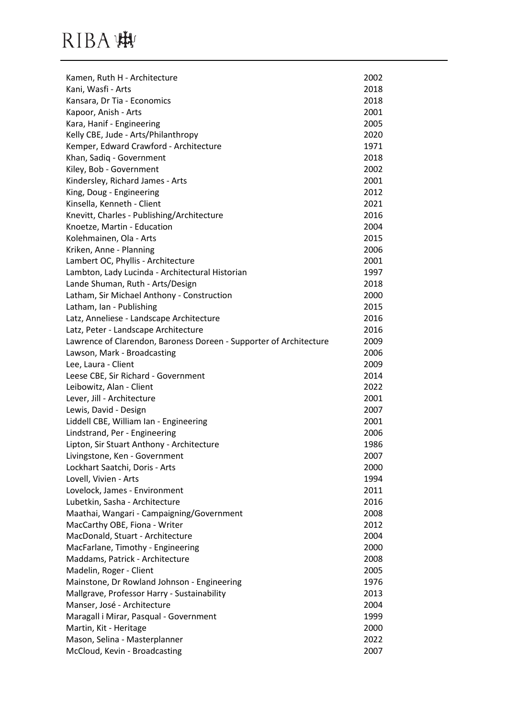| Kamen, Ruth H - Architecture                                       | 2002 |
|--------------------------------------------------------------------|------|
| Kani, Wasfi - Arts                                                 | 2018 |
| Kansara, Dr Tia - Economics                                        | 2018 |
| Kapoor, Anish - Arts                                               | 2001 |
| Kara, Hanif - Engineering                                          | 2005 |
| Kelly CBE, Jude - Arts/Philanthropy                                | 2020 |
| Kemper, Edward Crawford - Architecture                             | 1971 |
| Khan, Sadiq - Government                                           | 2018 |
| Kiley, Bob - Government                                            | 2002 |
| Kindersley, Richard James - Arts                                   | 2001 |
| King, Doug - Engineering                                           | 2012 |
| Kinsella, Kenneth - Client                                         | 2021 |
| Knevitt, Charles - Publishing/Architecture                         | 2016 |
| Knoetze, Martin - Education                                        | 2004 |
| Kolehmainen, Ola - Arts                                            | 2015 |
| Kriken, Anne - Planning                                            | 2006 |
| Lambert OC, Phyllis - Architecture                                 | 2001 |
| Lambton, Lady Lucinda - Architectural Historian                    | 1997 |
| Lande Shuman, Ruth - Arts/Design                                   | 2018 |
| Latham, Sir Michael Anthony - Construction                         | 2000 |
| Latham, Ian - Publishing                                           | 2015 |
| Latz, Anneliese - Landscape Architecture                           | 2016 |
| Latz, Peter - Landscape Architecture                               | 2016 |
| Lawrence of Clarendon, Baroness Doreen - Supporter of Architecture | 2009 |
| Lawson, Mark - Broadcasting                                        | 2006 |
| Lee, Laura - Client                                                | 2009 |
| Leese CBE, Sir Richard - Government                                | 2014 |
| Leibowitz, Alan - Client                                           | 2022 |
| Lever, Jill - Architecture                                         | 2001 |
| Lewis, David - Design                                              | 2007 |
| Liddell CBE, William Ian - Engineering                             | 2001 |
| Lindstrand, Per - Engineering                                      | 2006 |
| Lipton, Sir Stuart Anthony - Architecture                          | 1986 |
| Livingstone, Ken - Government                                      | 2007 |
| Lockhart Saatchi, Doris - Arts                                     | 2000 |
| Lovell, Vivien - Arts                                              | 1994 |
| Lovelock, James - Environment                                      | 2011 |
| Lubetkin, Sasha - Architecture                                     | 2016 |
| Maathai, Wangari - Campaigning/Government                          | 2008 |
| MacCarthy OBE, Fiona - Writer                                      | 2012 |
| MacDonald, Stuart - Architecture                                   | 2004 |
| MacFarlane, Timothy - Engineering                                  | 2000 |
| Maddams, Patrick - Architecture                                    | 2008 |
| Madelin, Roger - Client                                            | 2005 |
| Mainstone, Dr Rowland Johnson - Engineering                        | 1976 |
| Mallgrave, Professor Harry - Sustainability                        | 2013 |
| Manser, José - Architecture                                        | 2004 |
| Maragall i Mirar, Pasqual - Government                             | 1999 |
| Martin, Kit - Heritage                                             | 2000 |
| Mason, Selina - Masterplanner                                      | 2022 |
| McCloud, Kevin - Broadcasting                                      | 2007 |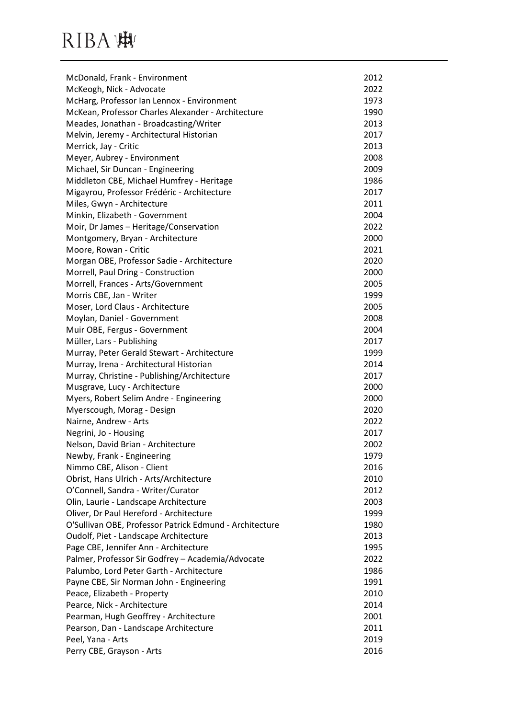| McDonald, Frank - Environment                           | 2012 |
|---------------------------------------------------------|------|
| McKeogh, Nick - Advocate                                | 2022 |
| McHarg, Professor Ian Lennox - Environment              | 1973 |
| McKean, Professor Charles Alexander - Architecture      | 1990 |
| Meades, Jonathan - Broadcasting/Writer                  | 2013 |
| Melvin, Jeremy - Architectural Historian                | 2017 |
| Merrick, Jay - Critic                                   | 2013 |
| Meyer, Aubrey - Environment                             | 2008 |
| Michael, Sir Duncan - Engineering                       | 2009 |
| Middleton CBE, Michael Humfrey - Heritage               | 1986 |
| Migayrou, Professor Frédéric - Architecture             | 2017 |
| Miles, Gwyn - Architecture                              | 2011 |
| Minkin, Elizabeth - Government                          | 2004 |
| Moir, Dr James - Heritage/Conservation                  | 2022 |
| Montgomery, Bryan - Architecture                        | 2000 |
| Moore, Rowan - Critic                                   | 2021 |
| Morgan OBE, Professor Sadie - Architecture              | 2020 |
| Morrell, Paul Dring - Construction                      | 2000 |
| Morrell, Frances - Arts/Government                      | 2005 |
| Morris CBE, Jan - Writer                                | 1999 |
| Moser, Lord Claus - Architecture                        | 2005 |
| Moylan, Daniel - Government                             | 2008 |
| Muir OBE, Fergus - Government                           | 2004 |
| Müller, Lars - Publishing                               | 2017 |
| Murray, Peter Gerald Stewart - Architecture             | 1999 |
| Murray, Irena - Architectural Historian                 | 2014 |
| Murray, Christine - Publishing/Architecture             | 2017 |
| Musgrave, Lucy - Architecture                           | 2000 |
| Myers, Robert Selim Andre - Engineering                 | 2000 |
| Myerscough, Morag - Design                              | 2020 |
| Nairne, Andrew - Arts                                   | 2022 |
| Negrini, Jo - Housing                                   | 2017 |
| Nelson, David Brian - Architecture                      | 2002 |
| Newby, Frank - Engineering                              | 1979 |
| Nimmo CBE, Alison - Client                              | 2016 |
| Obrist, Hans Ulrich - Arts/Architecture                 | 2010 |
| O'Connell, Sandra - Writer/Curator                      | 2012 |
| Olin, Laurie - Landscape Architecture                   | 2003 |
| Oliver, Dr Paul Hereford - Architecture                 | 1999 |
| O'Sullivan OBE, Professor Patrick Edmund - Architecture | 1980 |
| Oudolf, Piet - Landscape Architecture                   | 2013 |
| Page CBE, Jennifer Ann - Architecture                   | 1995 |
| Palmer, Professor Sir Godfrey - Academia/Advocate       | 2022 |
| Palumbo, Lord Peter Garth - Architecture                | 1986 |
| Payne CBE, Sir Norman John - Engineering                | 1991 |
| Peace, Elizabeth - Property                             | 2010 |
| Pearce, Nick - Architecture                             | 2014 |
| Pearman, Hugh Geoffrey - Architecture                   | 2001 |
| Pearson, Dan - Landscape Architecture                   | 2011 |
| Peel, Yana - Arts                                       | 2019 |
| Perry CBE, Grayson - Arts                               | 2016 |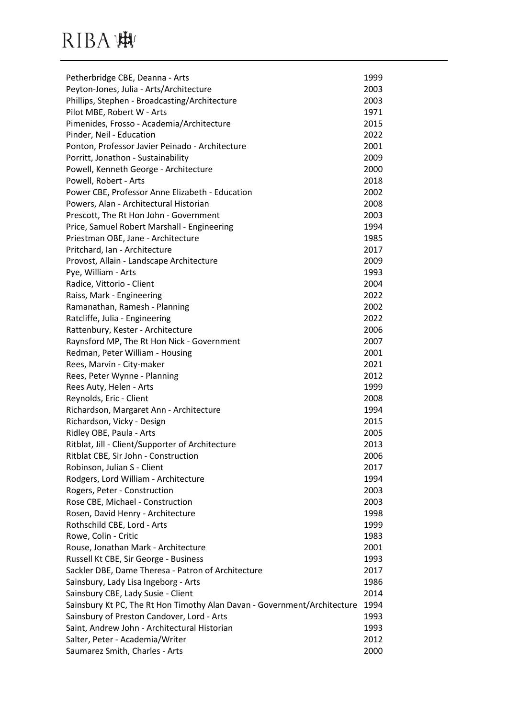| Petherbridge CBE, Deanna - Arts                                          | 1999 |
|--------------------------------------------------------------------------|------|
| Peyton-Jones, Julia - Arts/Architecture                                  | 2003 |
| Phillips, Stephen - Broadcasting/Architecture                            | 2003 |
| Pilot MBE, Robert W - Arts                                               | 1971 |
| Pimenides, Frosso - Academia/Architecture                                | 2015 |
| Pinder, Neil - Education                                                 | 2022 |
| Ponton, Professor Javier Peinado - Architecture                          | 2001 |
| Porritt, Jonathon - Sustainability                                       | 2009 |
| Powell, Kenneth George - Architecture                                    | 2000 |
| Powell, Robert - Arts                                                    | 2018 |
| Power CBE, Professor Anne Elizabeth - Education                          | 2002 |
| Powers, Alan - Architectural Historian                                   | 2008 |
| Prescott, The Rt Hon John - Government                                   | 2003 |
| Price, Samuel Robert Marshall - Engineering                              | 1994 |
| Priestman OBE, Jane - Architecture                                       | 1985 |
| Pritchard, Ian - Architecture                                            | 2017 |
| Provost, Allain - Landscape Architecture                                 | 2009 |
| Pye, William - Arts                                                      | 1993 |
| Radice, Vittorio - Client                                                | 2004 |
| Raiss, Mark - Engineering                                                | 2022 |
| Ramanathan, Ramesh - Planning                                            | 2002 |
| Ratcliffe, Julia - Engineering                                           | 2022 |
| Rattenbury, Kester - Architecture                                        | 2006 |
| Raynsford MP, The Rt Hon Nick - Government                               | 2007 |
| Redman, Peter William - Housing                                          | 2001 |
| Rees, Marvin - City-maker                                                | 2021 |
| Rees, Peter Wynne - Planning                                             | 2012 |
| Rees Auty, Helen - Arts                                                  | 1999 |
| Reynolds, Eric - Client                                                  | 2008 |
| Richardson, Margaret Ann - Architecture                                  | 1994 |
| Richardson, Vicky - Design                                               | 2015 |
| Ridley OBE, Paula - Arts                                                 | 2005 |
| Ritblat, Jill - Client/Supporter of Architecture                         | 2013 |
| Ritblat CBE, Sir John - Construction                                     | 2006 |
| Robinson, Julian S - Client                                              | 2017 |
| Rodgers, Lord William - Architecture                                     | 1994 |
| Rogers, Peter - Construction                                             | 2003 |
| Rose CBE, Michael - Construction                                         | 2003 |
| Rosen, David Henry - Architecture                                        | 1998 |
| Rothschild CBE, Lord - Arts                                              | 1999 |
| Rowe, Colin - Critic                                                     | 1983 |
| Rouse, Jonathan Mark - Architecture                                      | 2001 |
| Russell Kt CBE, Sir George - Business                                    | 1993 |
| Sackler DBE, Dame Theresa - Patron of Architecture                       | 2017 |
| Sainsbury, Lady Lisa Ingeborg - Arts                                     | 1986 |
| Sainsbury CBE, Lady Susie - Client                                       | 2014 |
| Sainsbury Kt PC, The Rt Hon Timothy Alan Davan - Government/Architecture | 1994 |
| Sainsbury of Preston Candover, Lord - Arts                               | 1993 |
| Saint, Andrew John - Architectural Historian                             | 1993 |
| Salter, Peter - Academia/Writer                                          | 2012 |
| Saumarez Smith, Charles - Arts                                           | 2000 |
|                                                                          |      |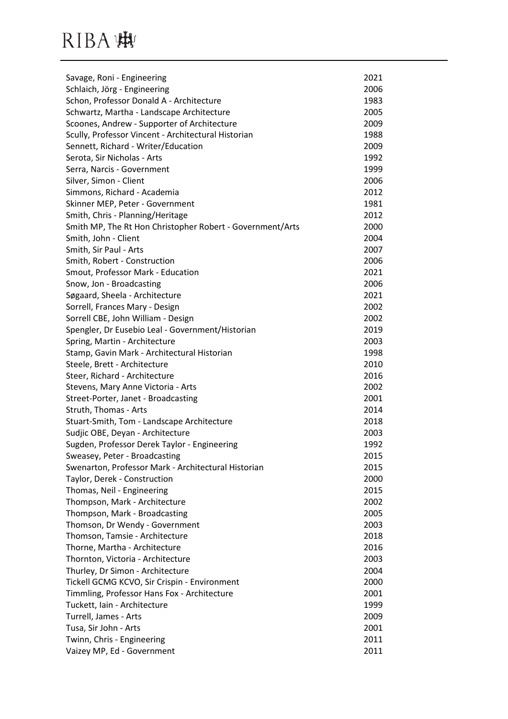| Savage, Roni - Engineering                                | 2021 |
|-----------------------------------------------------------|------|
| Schlaich, Jörg - Engineering                              | 2006 |
| Schon, Professor Donald A - Architecture                  | 1983 |
| Schwartz, Martha - Landscape Architecture                 | 2005 |
| Scoones, Andrew - Supporter of Architecture               | 2009 |
| Scully, Professor Vincent - Architectural Historian       | 1988 |
| Sennett, Richard - Writer/Education                       | 2009 |
| Serota, Sir Nicholas - Arts                               | 1992 |
| Serra, Narcis - Government                                | 1999 |
| Silver, Simon - Client                                    | 2006 |
| Simmons, Richard - Academia                               | 2012 |
| Skinner MEP, Peter - Government                           | 1981 |
| Smith, Chris - Planning/Heritage                          | 2012 |
| Smith MP, The Rt Hon Christopher Robert - Government/Arts | 2000 |
| Smith, John - Client                                      | 2004 |
| Smith, Sir Paul - Arts                                    | 2007 |
| Smith, Robert - Construction                              | 2006 |
| Smout, Professor Mark - Education                         | 2021 |
| Snow, Jon - Broadcasting                                  | 2006 |
| Søgaard, Sheela - Architecture                            | 2021 |
| Sorrell, Frances Mary - Design                            | 2002 |
| Sorrell CBE, John William - Design                        | 2002 |
| Spengler, Dr Eusebio Leal - Government/Historian          | 2019 |
| Spring, Martin - Architecture                             | 2003 |
| Stamp, Gavin Mark - Architectural Historian               | 1998 |
| Steele, Brett - Architecture                              | 2010 |
| Steer, Richard - Architecture                             | 2016 |
| Stevens, Mary Anne Victoria - Arts                        | 2002 |
| Street-Porter, Janet - Broadcasting                       | 2001 |
| Struth, Thomas - Arts                                     | 2014 |
| Stuart-Smith, Tom - Landscape Architecture                | 2018 |
| Sudjic OBE, Deyan - Architecture                          | 2003 |
| Sugden, Professor Derek Taylor - Engineering              | 1992 |
| Sweasey, Peter - Broadcasting                             | 2015 |
| Swenarton, Professor Mark - Architectural Historian       | 2015 |
| Taylor, Derek - Construction                              | 2000 |
| Thomas, Neil - Engineering                                | 2015 |
| Thompson, Mark - Architecture                             | 2002 |
| Thompson, Mark - Broadcasting                             | 2005 |
| Thomson, Dr Wendy - Government                            | 2003 |
| Thomson, Tamsie - Architecture                            | 2018 |
| Thorne, Martha - Architecture                             | 2016 |
| Thornton, Victoria - Architecture                         | 2003 |
| Thurley, Dr Simon - Architecture                          | 2004 |
| Tickell GCMG KCVO, Sir Crispin - Environment              | 2000 |
| Timmling, Professor Hans Fox - Architecture               | 2001 |
| Tuckett, Iain - Architecture                              | 1999 |
| Turrell, James - Arts                                     | 2009 |
| Tusa, Sir John - Arts                                     | 2001 |
| Twinn, Chris - Engineering                                | 2011 |
| Vaizey MP, Ed - Government                                | 2011 |
|                                                           |      |